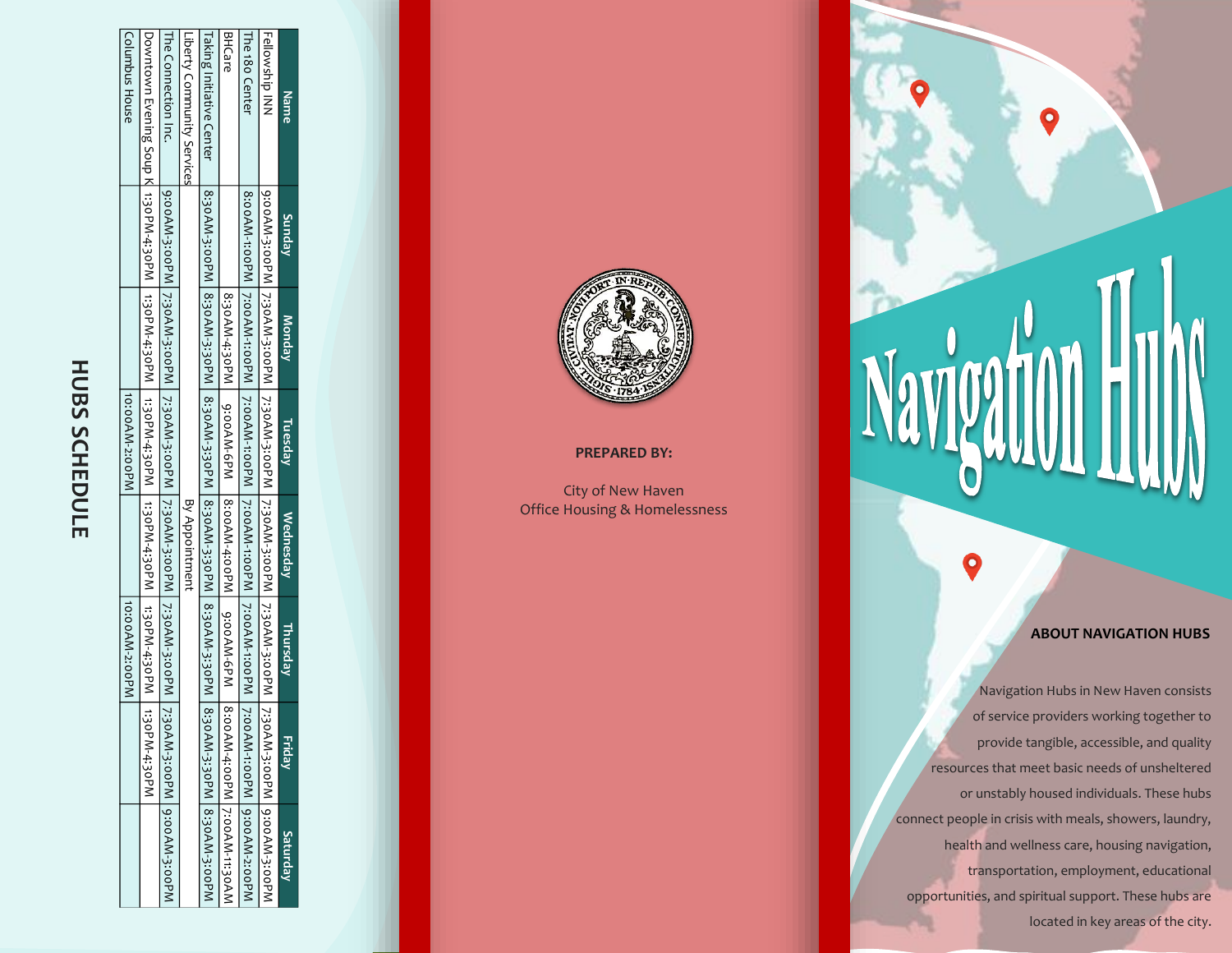|                 |                                |                                                                                                                |                | <b>HUBS SCHEDULE</b> |               |        |                                                                                                                        |
|-----------------|--------------------------------|----------------------------------------------------------------------------------------------------------------|----------------|----------------------|---------------|--------|------------------------------------------------------------------------------------------------------------------------|
|                 |                                | 10:00AM-2:00PM                                                                                                 |                | 10:0AM-2:00PM        |               |        | Columbus House                                                                                                         |
|                 |                                |                                                                                                                |                |                      |               |        | Downtown Evening Soup K. 1:30PM-4:30PM   1:30PM-4:30PM   1:30PM-4:30PM   1:30PM-4:30PM   1:30PM-4:30PM   1:30PM-4:30PM |
|                 |                                | 9;00AM-3;00PM   7;30AM-3;00AM-3;00AM-3;00AM-3;00PM   7;30AM-3;00PM   7;30AM-3;00PM   7;30AM-3;00PM   9;00AM-3; |                |                      |               |        | The Connection Inc.                                                                                                    |
|                 |                                |                                                                                                                | By Appointment |                      |               |        | Liberty Community Services                                                                                             |
|                 |                                | 8:30AM-3:30AM_8:30AM_3:30AM-3:30AM-3:30AM_8:30AM_3:30AM_3:30AM_3:30AM-3:30AM_3:30AM-3:30AM-3:30AM-3:30AM_      |                |                      |               |        | Taking Initiative Center                                                                                               |
|                 | 8:00AM-4:00PM   7:00AM-11:30AN | 8:30AN-4:30PM   9:00AN-4:00AN-4:00AM-6PM   8:00AM-6PM   9:00AM-6PM                                             |                |                      |               |        | BHCare                                                                                                                 |
|                 |                                | 8:ooAM-1:ooPM 7:ooAM-1:ooAM-1:ooAM-1:ooAM-1:ooAM-1:ooAM-1:ooAM-1:ooAM-1:ooAM-1:ooAM-1:ooAM-2:ooPM              |                |                      |               |        | The 180 Center                                                                                                         |
|                 |                                | 9;00AM-3;00AM-3;0AM-3;0AM-3;0AM-3;0AM-3;00AM-3;00AM-3;00AM-3;0AM-3;0AM-3;0AM-3;0AM-3;00AM-3;00AM-3;0           |                |                      |               |        | Fellowship INN                                                                                                         |
| <b>Saturday</b> | Friday                         | Thursday                                                                                                       | Wednesday      | Tuesday,             | <b>Monday</b> | Sunday | Name                                                                                                                   |



### **PREPARED BY:**

City of New Haven Office Housing & Homelessness

# **ABOUT NAVIGATION HUBS**

Navigation Hubs in New Haven consists of service providers working together to provide tangible, accessible, and quality resources that meet basic needs of unsheltered or unstably housed individuals. These hubs connect people in crisis with meals, showers, laundry, health and wellness care, housing navigation, transportation, employment, educational opportunities, and spiritual support. These hubs are located in key areas of the city.

O

Navigatio

 $\bullet$